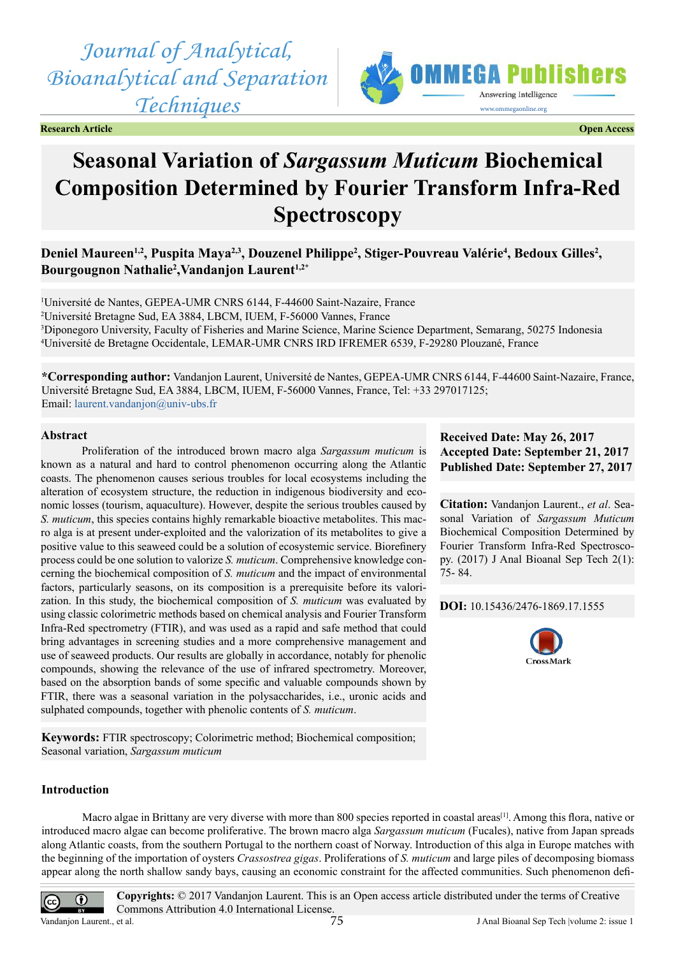*Journal of Analytical, Bioanalytical and Separation Techniques*



**Research Article Open Access**

# **Seasonal Variation of** *Sargassum Muticum* **Biochemical Composition Determined by Fourier Transform Infra-Red Spectroscopy**

Deniel Maureen<sup>1,2</sup>, Puspita Maya<sup>2,3</sup>, Douzenel Philippe<sup>2</sup>, Stiger-Pouvreau Valérie<sup>4</sup>, Bedoux Gilles<sup>2</sup>, **Bourgougnon Nathalie2 ,Vandanjon Laurent1,2\***

 Université de Nantes, GEPEA-UMR CNRS 6144, F-44600 Saint-Nazaire, France Université Bretagne Sud, EA 3884, LBCM, IUEM, F-56000 Vannes, France Diponegoro University, Faculty of Fisheries and Marine Science, Marine Science Department, Semarang, 50275 Indonesia Université de Bretagne Occidentale, LEMAR-UMR CNRS IRD IFREMER 6539, F-29280 Plouzané, France

**\*Corresponding author:** Vandanjon Laurent, Université de Nantes, GEPEA-UMR CNRS 6144, F-44600 Saint-Nazaire, France, Université Bretagne Sud, EA 3884, LBCM, IUEM, F-56000 Vannes, France, Tel: +33 297017125; Email: [laurent.vandanjon@univ-ubs.fr](mailto:laurent.vandanjon@univ-ubs.fr)

#### **Abstract**

Proliferation of the introduced brown macro alga *Sargassum muticum* is known as a natural and hard to control phenomenon occurring along the Atlantic coasts. The phenomenon causes serious troubles for local ecosystems including the alteration of ecosystem structure, the reduction in indigenous biodiversity and economic losses (tourism, aquaculture). However, despite the serious troubles caused by *S. muticum*, this species contains highly remarkable bioactive metabolites. This macro alga is at present under-exploited and the valorization of its metabolites to give a positive value to this seaweed could be a solution of ecosystemic service. Biorefinery process could be one solution to valorize *S. muticum*. Comprehensive knowledge concerning the biochemical composition of *S. muticum* and the impact of environmental factors, particularly seasons, on its composition is a prerequisite before its valorization. In this study, the biochemical composition of *S. muticum* was evaluated by using classic colorimetric methods based on chemical analysis and Fourier Transform Infra-Red spectrometry (FTIR), and was used as a rapid and safe method that could bring advantages in screening studies and a more comprehensive management and use of seaweed products. Our results are globally in accordance, notably for phenolic compounds, showing the relevance of the use of infrared spectrometry. Moreover, based on the absorption bands of some specific and valuable compounds shown by FTIR, there was a seasonal variation in the polysaccharides, i.e., uronic acids and sulphated compounds, together with phenolic contents of *S. muticum*.

**Keywords:** FTIR spectroscopy; Colorimetric method; Biochemical composition; Seasonal variation, *Sargassum muticum*

#### **Introduction**

Macro algae in Brittany are very diverse with more than 800 species reported in coastal areas<sup>[\[1\]](#page-8-0)</sup>. Among this flora, native or introduced macro algae can become proliferative. The brown macro alga *Sargassum muticum* (Fucales), native from Japan spreads along Atlantic coasts, from the southern Portugal to the northern coast of Norway. Introduction of this alga in Europe matches with the beginning of the importation of oysters *Crassostrea gigas*. Proliferations of *S. muticum* and large piles of decomposing biomass appear along the north shallow sandy bays, causing an economic constraint for the affected communities. Such phenomenon defi-



**Copyrights:** © 2017 Vandanjon Laurent. This is an Open access article distributed under the terms of Creative Commons Attribution 4.0 International License.



**Citation:** Vandanjon Laurent., *et al*. Seasonal Variation of *Sargassum Muticum* Biochemical Composition Determined by Fourier Transform Infra-Red Spectroscopy. (2017) J Anal Bioanal Sep Tech 2(1): 75- 84.

**DOI:** [10.15436/2476-1869.17.1](https://doi.org/10.15436/2476-1869.17.1555)555

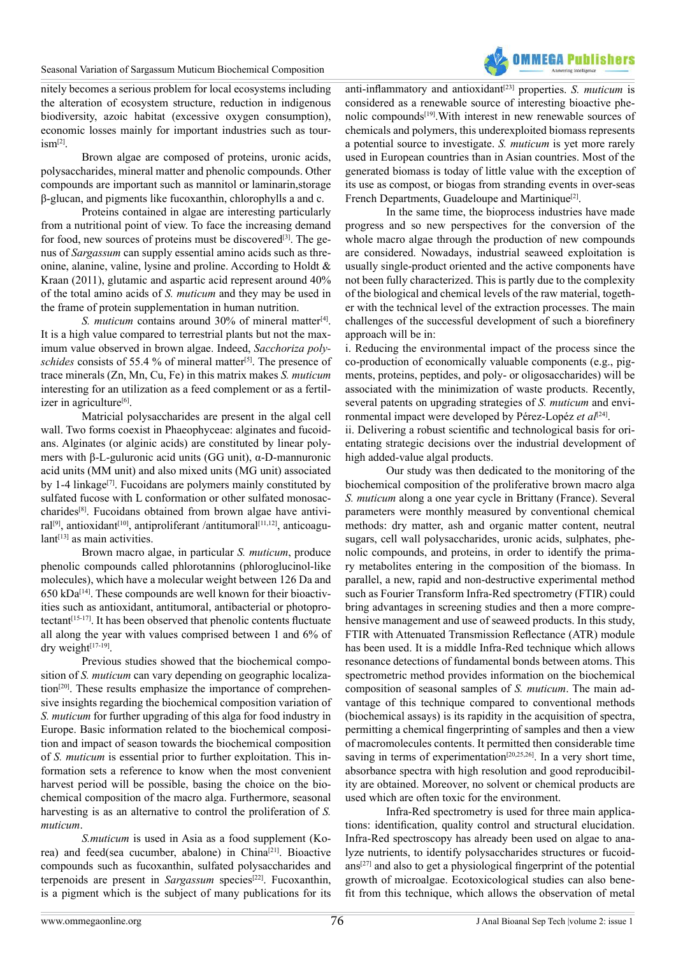

nitely becomes a serious problem for local ecosystems including the alteration of ecosystem structure, reduction in indigenous biodiversity, azoic habitat (excessive oxygen consumption), economic losses mainly for important industries such as tour $ism<sup>[2]</sup>$ .

Brown algae are composed of proteins, uronic acids, polysaccharides, mineral matter and phenolic compounds. Other compounds are important such as mannitol or laminarin,storage β-glucan, and pigments like fucoxanthin, chlorophylls a and c.

Proteins contained in algae are interesting particularly from a nutritional point of view. To face the increasing demand for food, new sources of proteins must be discovered $[3]$ . The genus of *Sargassum* can supply essential amino acids such as threonine, alanine, valine, lysine and proline. According to Holdt & Kraan (2011), glutamic and aspartic acid represent around 40% of the total amino acids of *S. muticum* and they may be used in the frame of protein supplementation in human nutrition.

*S. muticum* contains around 30% of mineral matter<sup>[4]</sup>. It is a high value compared to terrestrial plants but not the maximum value observed in brown algae. Indeed, *Sacchoriza polyschides* consists of 55.4 % of mineral matter<sup>[5]</sup>. The presence of trace minerals (Zn, Mn, Cu, Fe) in this matrix makes *S. muticum* interesting for an utilization as a feed complement or as a fertilizer in agriculture<sup>[6]</sup>.

Matricial polysaccharides are present in the algal cell wall. Two forms coexist in Phaeophyceae: alginates and fucoidans. Alginates (or alginic acids) are constituted by linear polymers with β-L-guluronic acid units (GG unit), α-D-mannuronic acid units (MM unit) and also mixed units (MG unit) associated by 1-4 linkage<sup>[7]</sup>. Fucoidans are polymers mainly constituted by sulfated fucose with L conformation or other sulfated monosaccharide[s\[8\]](#page-8-7). Fucoidans obtained from brown algae have antivi-ral<sup>[\[9\]](#page-8-8)</sup>, antioxidant<sup>[\[10\]](#page-8-9)</sup>, antiproliferant /antitumoral<sup>[11,12]</sup>, anticoagu $lant^{[13]}$  as main activities.

Brown macro algae, in particular *S. muticum*, produce phenolic compounds called phlorotannins (phloroglucinol-like molecules), which have a molecular weight between 126 Da and  $650$  kDa<sup>[14]</sup>. These compounds are well known for their bioactivities such as antioxidant, antitumoral, antibacterial or photopro-tectant<sup>[\[15-17\]](#page-8-13)</sup>. It has been observed that phenolic contents fluctuate all along the year with values comprised between 1 and 6% of dry weigh[t\[17-19\].](#page-8-14)

Previous studies showed that the biochemical composition of *S. muticum* can vary depending on geographic localiza-tion<sup>[\[20\]](#page-8-15)</sup>. These results emphasize the importance of comprehensive insights regarding the biochemical composition variation of *S. muticum* for further upgrading of this alga for food industry in Europe. Basic information related to the biochemical composition and impact of season towards the biochemical composition of *S. muticum* is essential prior to further exploitation. This information sets a reference to know when the most convenient harvest period will be possible, basing the choice on the biochemical composition of the macro alga. Furthermore, seasonal harvesting is as an alternative to control the proliferation of *S. muticum*.

*S.muticum* is used in Asia as a food supplement (Korea) and feed(sea cucumber, abalone) in China<sup>[21]</sup>. Bioactive compounds such as fucoxanthin, sulfated polysaccharides and terpenoids are present in *Sargassum* species<sup>[22]</sup>. Fucoxanthin, is a pigment which is the subject of many publications for its anti-inflammatory and antioxidant<sup>[\[23\]](#page-9-2)</sup> properties. *S. muticum* is considered as a renewable source of interesting bioactive phenolic compounds[\[19\]](#page-8-16).With interest in new renewable sources of chemicals and polymers, this underexploited biomass represents a potential source to investigate. *S. muticum* is yet more rarely used in European countries than in Asian countries. Most of the generated biomass is today of little value with the exception of its use as compost, or biogas from stranding events in over-seas French Departments, Guadeloupe and Martinique<sup>[2]</sup>.

In the same time, the bioprocess industries have made progress and so new perspectives for the conversion of the whole macro algae through the production of new compounds are considered. Nowadays, industrial seaweed exploitation is usually single-product oriented and the active components have not been fully characterized. This is partly due to the complexity of the biological and chemical levels of the raw material, together with the technical level of the extraction processes. The main challenges of the successful development of such a biorefinery approach will be in:

i. Reducing the environmental impact of the process since the co-production of economically valuable components (e.g., pigments, proteins, peptides, and poly- or oligosaccharides) will be associated with the minimization of waste products. Recently, several patents on upgrading strategies of *S. muticum* and environmental impact were developed by Pérez-Lopéz *et al*<sup>[\[24\]](#page-9-3)</sup>.

ii. Delivering a robust scientific and technological basis for orientating strategic decisions over the industrial development of high added-value algal products.

Our study was then dedicated to the monitoring of the biochemical composition of the proliferative brown macro alga *S. muticum* along a one year cycle in Brittany (France). Several parameters were monthly measured by conventional chemical methods: dry matter, ash and organic matter content, neutral sugars, cell wall polysaccharides, uronic acids, sulphates, phenolic compounds, and proteins, in order to identify the primary metabolites entering in the composition of the biomass. In parallel, a new, rapid and non-destructive experimental method such as Fourier Transform Infra-Red spectrometry (FTIR) could bring advantages in screening studies and then a more comprehensive management and use of seaweed products. In this study, FTIR with Attenuated Transmission Reflectance (ATR) module has been used. It is a middle Infra-Red technique which allows resonance detections of fundamental bonds between atoms. This spectrometric method provides information on the biochemical composition of seasonal samples of *S. muticum*. The main advantage of this technique compared to conventional methods (biochemical assays) is its rapidity in the acquisition of spectra, permitting a chemical fingerprinting of samples and then a view of macromolecules contents. It permitted then considerable time saving in terms of experimentation<sup>[20,25,26]</sup>. In a very short time, absorbance spectra with high resolution and good reproducibility are obtained. Moreover, no solvent or chemical products are used which are often toxic for the environment.

Infra-Red spectrometry is used for three main applications: identification, quality control and structural elucidation. Infra-Red spectroscopy has already been used on algae to analyze nutrients, to identify polysaccharides structures or fucoid- $ans<sup>[27]</sup>$  $ans<sup>[27]</sup>$  $ans<sup>[27]</sup>$  and also to get a physiological fingerprint of the potential growth of microalgae. Ecotoxicological studies can also benefit from this technique, which allows the observation of metal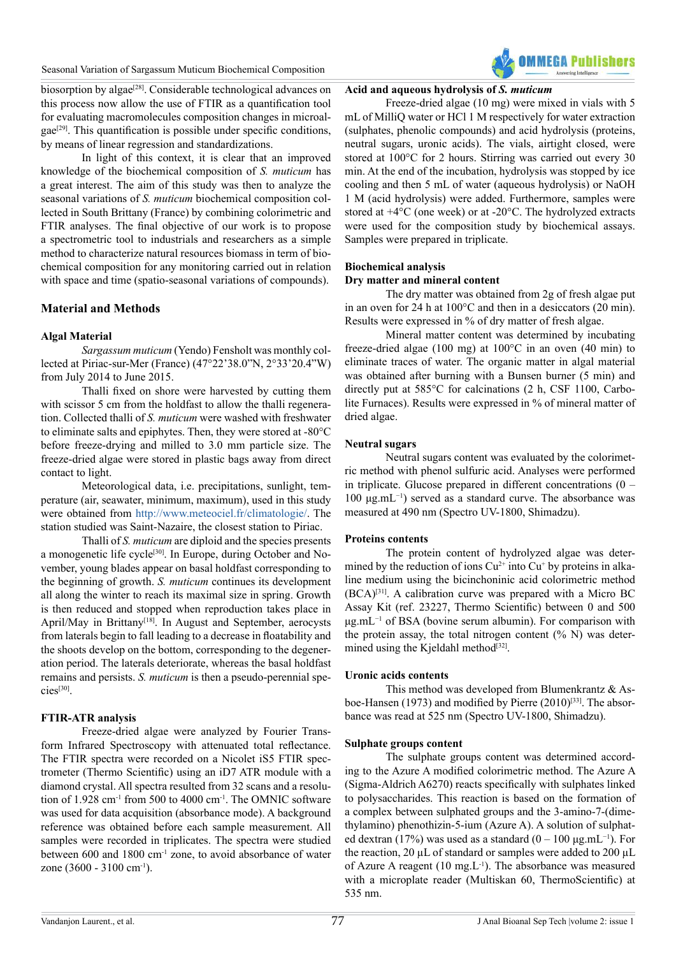

biosorption by algae<sup>[28]</sup>. Considerable technological advances on this process now allow the use of FTIR as a quantification tool for evaluating macromolecules composition changes in microal- $gae^{[29]}$  $gae^{[29]}$  $gae^{[29]}$ . This quantification is possible under specific conditions, by means of linear regression and standardizations.

In light of this context, it is clear that an improved knowledge of the biochemical composition of *S. muticum* has a great interest. The aim of this study was then to analyze the seasonal variations of *S. muticum* biochemical composition collected in South Brittany (France) by combining colorimetric and FTIR analyses. The final objective of our work is to propose a spectrometric tool to industrials and researchers as a simple method to characterize natural resources biomass in term of biochemical composition for any monitoring carried out in relation with space and time (spatio-seasonal variations of compounds).

# **Material and Methods**

# **Algal Material**

*Sargassum muticum* (Yendo) Fensholt was monthly collected at Piriac-sur-Mer (France) (47°22'38.0"N, 2°33'20.4"W) from July 2014 to June 2015.

Thalli fixed on shore were harvested by cutting them with scissor 5 cm from the holdfast to allow the thalli regeneration. Collected thalli of *S. muticum* were washed with freshwater to eliminate salts and epiphytes. Then, they were stored at -80°C before freeze-drying and milled to 3.0 mm particle size. The freeze-dried algae were stored in plastic bags away from direct contact to light.

Meteorological data, i.e. precipitations, sunlight, temperature (air, seawater, minimum, maximum), used in this study were obtained from <http://www.meteociel.fr/climatologie/>. The station studied was Saint-Nazaire, the closest station to Piriac.

Thalli of *S. muticum* are diploid and the species presents a monogenetic life cycle[\[30\].](#page-9-7) In Europe, during October and November, young blades appear on basal holdfast corresponding to the beginning of growth. *S. muticum* continues its development all along the winter to reach its maximal size in spring. Growth is then reduced and stopped when reproduction takes place in April/May in Brittany<sup>[\[18\]](#page-8-17)</sup>. In August and September, aerocysts from laterals begin to fall leading to a decrease in floatability and the shoots develop on the bottom, corresponding to the degeneration period. The laterals deteriorate, whereas the basal holdfast remains and persists. *S. muticum* is then a pseudo-perennial species[\[30\]](#page-9-7).

# **FTIR-ATR analysis**

Freeze-dried algae were analyzed by Fourier Transform Infrared Spectroscopy with attenuated total reflectance. The FTIR spectra were recorded on a Nicolet iS5 FTIR spectrometer (Thermo Scientific) using an iD7 ATR module with a diamond crystal. All spectra resulted from 32 scans and a resolution of 1.928 cm<sup>-1</sup> from 500 to 4000 cm<sup>-1</sup>. The OMNIC software was used for data acquisition (absorbance mode). A background reference was obtained before each sample measurement. All samples were recorded in triplicates. The spectra were studied between 600 and 1800 cm-1 zone, to avoid absorbance of water zone (3600 - 3100 cm<sup>-1</sup>).

# **Acid and aqueous hydrolysis of** *S. muticum*

Freeze-dried algae (10 mg) were mixed in vials with 5 mL of MilliQ water or HCl 1 M respectively for water extraction (sulphates, phenolic compounds) and acid hydrolysis (proteins, neutral sugars, uronic acids). The vials, airtight closed, were stored at 100°C for 2 hours. Stirring was carried out every 30 min. At the end of the incubation, hydrolysis was stopped by ice cooling and then 5 mL of water (aqueous hydrolysis) or NaOH 1 M (acid hydrolysis) were added. Furthermore, samples were stored at +4°C (one week) or at -20°C. The hydrolyzed extracts were used for the composition study by biochemical assays. Samples were prepared in triplicate.

# **Biochemical analysis**

#### **Dry matter and mineral content**

The dry matter was obtained from 2g of fresh algae put in an oven for 24 h at 100°C and then in a desiccators (20 min). Results were expressed in % of dry matter of fresh algae.

Mineral matter content was determined by incubating freeze-dried algae (100 mg) at 100°C in an oven (40 min) to eliminate traces of water. The organic matter in algal material was obtained after burning with a Bunsen burner (5 min) and directly put at 585°C for calcinations (2 h, CSF 1100, Carbolite Furnaces). Results were expressed in % of mineral matter of dried algae.

#### **Neutral sugars**

Neutral sugars content was evaluated by the colorimetric method with phenol sulfuric acid. Analyses were performed in triplicate. Glucose prepared in different concentrations  $(0 -$ 100 μg.mL−1) served as a standard curve. The absorbance was measured at 490 nm (Spectro UV-1800, Shimadzu).

#### **Proteins contents**

The protein content of hydrolyzed algae was determined by the reduction of ions  $Cu^{2+}$  into  $Cu^{+}$  by proteins in alkaline medium using the bicinchoninic acid colorimetric method (BCA)[\[31\].](#page-9-8) A calibration curve was prepared with a Micro BC Assay Kit (ref. 23227, Thermo Scientific) between 0 and 500 μg.mL−1 of BSA (bovine serum albumin). For comparison with the protein assay, the total nitrogen content  $(\% N)$  was determined using the Kjeldahl method $[32]$ .

#### **Uronic acids contents**

This method was developed from Blumenkrantz & Asboe-Hansen (1973) and modified by Pierre  $(2010)^{[33]}$  $(2010)^{[33]}$  $(2010)^{[33]}$ . The absorbance was read at 525 nm (Spectro UV-1800, Shimadzu).

#### **Sulphate groups content**

The sulphate groups content was determined according to the Azure A modified colorimetric method. The Azure A (Sigma-Aldrich A6270) reacts specifically with sulphates linked to polysaccharides. This reaction is based on the formation of a complex between sulphated groups and the 3-amino-7-(dimethylamino) phenothizin-5-ium (Azure A). A solution of sulphated dextran (17%) was used as a standard (0 – 100 µg.mL<sup>-1</sup>). For the reaction, 20  $\mu$ L of standard or samples were added to 200  $\mu$ L of Azure A reagent  $(10 \text{ mg} \cdot L^{-1})$ . The absorbance was measured with a microplate reader (Multiskan 60, ThermoScientific) at 535 nm.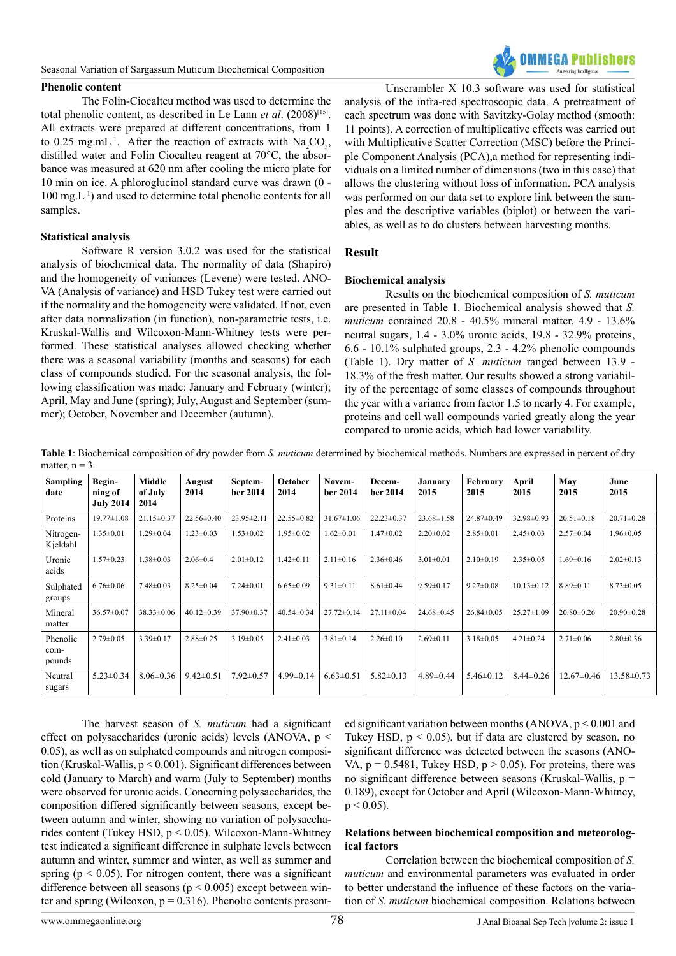#### **Phenolic content**



The Folin-Ciocalteu method was used to determine the total phenolic content, as described in Le Lann *et al*. (2008[\)\[15\]](#page-8-13). All extracts were prepared at different concentrations, from 1 to 0.25 mg.mL<sup>-1</sup>. After the reaction of extracts with  $\text{Na}_2\text{CO}_3$ , distilled water and Folin Ciocalteu reagent at 70°C, the absorbance was measured at 620 nm after cooling the micro plate for 10 min on ice. A phloroglucinol standard curve was drawn (0 - 100 mg.L-1) and used to determine total phenolic contents for all samples.

#### **Statistical analysis**

Software R version 3.0.2 was used for the statistical analysis of biochemical data. The normality of data (Shapiro) and the homogeneity of variances (Levene) were tested. ANO-VA (Analysis of variance) and HSD Tukey test were carried out if the normality and the homogeneity were validated. If not, even after data normalization (in function), non-parametric tests, i.e. Kruskal-Wallis and Wilcoxon-Mann-Whitney tests were performed. These statistical analyses allowed checking whether there was a seasonal variability (months and seasons) for each class of compounds studied. For the seasonal analysis, the following classification was made: January and February (winter); April, May and June (spring); July, August and September (summer); October, November and December (autumn).

Unscrambler X 10.3 software was used for statistical analysis of the infra-red spectroscopic data. A pretreatment of each spectrum was done with Savitzky-Golay method (smooth: 11 points). A correction of multiplicative effects was carried out with Multiplicative Scatter Correction (MSC) before the Principle Component Analysis (PCA),a method for representing individuals on a limited number of dimensions (two in this case) that allows the clustering without loss of information. PCA analysis was performed on our data set to explore link between the samples and the descriptive variables (biplot) or between the variables, as well as to do clusters between harvesting months.

# **Result**

#### **Biochemical analysis**

Results on the biochemical composition of *S. muticum* are presented in Table 1. Biochemical analysis showed that *S. muticum* contained 20.8 - 40.5% mineral matter, 4.9 - 13.6% neutral sugars, 1.4 - 3.0% uronic acids, 19.8 - 32.9% proteins, 6.6 - 10.1% sulphated groups, 2.3 - 4.2% phenolic compounds (Table 1). Dry matter of *S. muticum* ranged between 13.9 - 18.3% of the fresh matter. Our results showed a strong variability of the percentage of some classes of compounds throughout the year with a variance from factor 1.5 to nearly 4. For example, proteins and cell wall compounds varied greatly along the year compared to uronic acids, which had lower variability.

**Table 1**: Biochemical composition of dry powder from *S. muticum* determined by biochemical methods. Numbers are expressed in percent of dry matter,  $n = 3$ .

| <b>Sampling</b><br>date    | Begin-<br>ning of<br><b>July 2014</b> | <b>Middle</b><br>of July<br>2014 | August<br>2014   | Septem-<br>ber 2014 | October<br>2014  | Novem-<br>ber 2014 | Decem-<br>ber 2014 | January<br>2015  | February<br>2015 | April<br>2015    | May<br>2015      | June<br>2015     |
|----------------------------|---------------------------------------|----------------------------------|------------------|---------------------|------------------|--------------------|--------------------|------------------|------------------|------------------|------------------|------------------|
| Proteins                   | $19.77 \pm 1.08$                      | $21.15 \pm 0.37$                 | $22.56 \pm 0.40$ | 23.95±2.11          | $22.55 \pm 0.82$ | $31.67 \pm 1.06$   | $22.23 \pm 0.37$   | $23.68 \pm 1.58$ | 24.87±0.49       | 32.98±0.93       | $20.51 \pm 0.18$ | $20.71 \pm 0.28$ |
| Nitrogen-<br>Kjeldahl      | $1.35 \pm 0.01$                       | $1.29 \pm 0.04$                  | $1.23 \pm 0.03$  | $1.53 \pm 0.02$     | $1.95 \pm 0.02$  | $1.62 \pm 0.01$    | $1.47 \pm 0.02$    | $2.20 \pm 0.02$  | $2.85 \pm 0.01$  | $2.45 \pm 0.03$  | $2.57 \pm 0.04$  | $1.96 \pm 0.05$  |
| Uronic<br>acids            | $1.57 \pm 0.23$                       | $1.38 \pm 0.03$                  | $2.06 \pm 0.4$   | $2.01 \pm 0.12$     | $1.42 \pm 0.11$  | $2.11 \pm 0.16$    | $2.36 \pm 0.46$    | $3.01 \pm 0.01$  | $2.10\pm0.19$    | $2.35 \pm 0.05$  | $1.69 \pm 0.16$  | $2.02 \pm 0.13$  |
| Sulphated<br>groups        | $6.76 \pm 0.06$                       | $7.48 \pm 0.03$                  | $8.25 \pm 0.04$  | $7.24 \pm 0.01$     | $6.65 \pm 0.09$  | $9.31 \pm 0.11$    | $8.61 \pm 0.44$    | $9.59 \pm 0.17$  | $9.27 \pm 0.08$  | $10.13 \pm 0.12$ | $8.89 \pm 0.11$  | $8.73 \pm 0.05$  |
| Mineral<br>matter          | $36.57 \pm 0.07$                      | $38.33 \pm 0.06$                 | $40.12 \pm 0.39$ | $37.90 \pm 0.37$    | $40.54 \pm 0.34$ | $27.72 \pm 0.14$   | $27.11 \pm 0.04$   | $24.68 \pm 0.45$ | $26.84 \pm 0.05$ | $25.27 \pm 1.09$ | $20.80 \pm 0.26$ | $20.90 \pm 0.28$ |
| Phenolic<br>com-<br>pounds | $2.79 \pm 0.05$                       | $3.39 \pm 0.17$                  | $2.88 \pm 0.25$  | $3.19 \pm 0.05$     | $2.41 \pm 0.03$  | $3.81 \pm 0.14$    | $2.26 \pm 0.10$    | $2.69 \pm 0.11$  | $3.18 \pm 0.05$  | $4.21 \pm 0.24$  | $2.71 \pm 0.06$  | $2.80 \pm 0.36$  |
| Neutral<br>sugars          | $5.23 \pm 0.34$                       | $8.06 \pm 0.36$                  | $9.42 \pm 0.51$  | $7.92 \pm 0.57$     | $4.99 \pm 0.14$  | $6.63 \pm 0.51$    | $5.82 \pm 0.13$    | $4.89 \pm 0.44$  | $5.46 \pm 0.12$  | $8.44 \pm 0.26$  | $12.67 \pm 0.46$ | $13.58 \pm 0.73$ |

The harvest season of *S. muticum* had a significant effect on polysaccharides (uronic acids) levels (ANOVA, p < 0.05), as well as on sulphated compounds and nitrogen composition (Kruskal-Wallis, p < 0.001). Significant differences between cold (January to March) and warm (July to September) months were observed for uronic acids. Concerning polysaccharides, the composition differed significantly between seasons, except between autumn and winter, showing no variation of polysaccharides content (Tukey HSD,  $p < 0.05$ ). Wilcoxon-Mann-Whitney test indicated a significant difference in sulphate levels between autumn and winter, summer and winter, as well as summer and spring ( $p < 0.05$ ). For nitrogen content, there was a significant difference between all seasons ( $p < 0.005$ ) except between winter and spring (Wilcoxon,  $p = 0.316$ ). Phenolic contents presented significant variation between months (ANOVA,  $p < 0.001$  and Tukey HSD,  $p < 0.05$ ), but if data are clustered by season, no significant difference was detected between the seasons (ANO-VA,  $p = 0.5481$ , Tukey HSD,  $p > 0.05$ ). For proteins, there was no significant difference between seasons (Kruskal-Wallis,  $p =$ 0.189), except for October and April (Wilcoxon-Mann-Whitney,  $p < 0.05$ ).

#### **Relations between biochemical composition and meteorological factors**

Correlation between the biochemical composition of *S. muticum* and environmental parameters was evaluated in order to better understand the influence of these factors on the variation of *S. muticum* biochemical composition. Relations between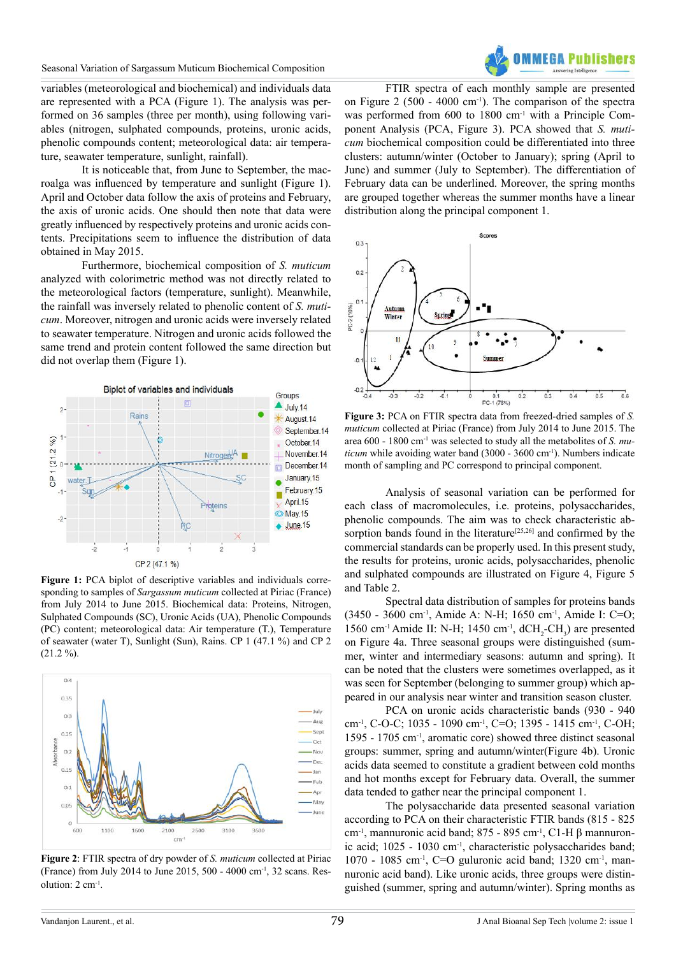

variables (meteorological and biochemical) and individuals data are represented with a PCA (Figure 1). The analysis was performed on 36 samples (three per month), using following variables (nitrogen, sulphated compounds, proteins, uronic acids, phenolic compounds content; meteorological data: air temperature, seawater temperature, sunlight, rainfall).

It is noticeable that, from June to September, the macroalga was influenced by temperature and sunlight (Figure 1). April and October data follow the axis of proteins and February, the axis of uronic acids. One should then note that data were greatly influenced by respectively proteins and uronic acids contents. Precipitations seem to influence the distribution of data obtained in May 2015.

Furthermore, biochemical composition of *S. muticum* analyzed with colorimetric method was not directly related to the meteorological factors (temperature, sunlight). Meanwhile, the rainfall was inversely related to phenolic content of *S. muticum*. Moreover, nitrogen and uronic acids were inversely related to seawater temperature. Nitrogen and uronic acids followed the same trend and protein content followed the same direction but did not overlap them (Figure 1).



**Figure 1:** PCA biplot of descriptive variables and individuals corresponding to samples of *Sargassum muticum* collected at Piriac (France) from July 2014 to June 2015. Biochemical data: Proteins, Nitrogen, Sulphated Compounds (SC), Uronic Acids (UA), Phenolic Compounds (PC) content; meteorological data: Air temperature (T.), Temperature of seawater (water T), Sunlight (Sun), Rains. CP 1 (47.1 %) and CP 2  $(21.2\%)$ .



**Figure 2**: FTIR spectra of dry powder of *S. muticum* collected at Piriac (France) from July 2014 to June 2015, 500 - 4000 cm-1, 32 scans. Resolution: 2 cm-1.

FTIR spectra of each monthly sample are presented on Figure  $2(500 - 4000 \text{ cm}^{-1})$ . The comparison of the spectra was performed from 600 to 1800 cm<sup>-1</sup> with a Principle Component Analysis (PCA, Figure 3). PCA showed that *S. muticum* biochemical composition could be differentiated into three clusters: autumn/winter (October to January); spring (April to June) and summer (July to September). The differentiation of February data can be underlined. Moreover, the spring months are grouped together whereas the summer months have a linear distribution along the principal component 1.



**Figure 3:** PCA on FTIR spectra data from freezed-dried samples of *S. muticum* collected at Piriac (France) from July 2014 to June 2015. The area 600 - 1800 cm-1 was selected to study all the metabolites of *S. muticum* while avoiding water band (3000 - 3600 cm<sup>-1</sup>). Numbers indicate month of sampling and PC correspond to principal component.

Analysis of seasonal variation can be performed for each class of macromolecules, i.e. proteins, polysaccharides, phenolic compounds. The aim was to check characteristic ab-sorption bands found in the literature<sup>[\[25,26\]](#page-9-11)</sup> and confirmed by the commercial standards can be properly used. In this present study, the results for proteins, uronic acids, polysaccharides, phenolic and sulphated compounds are illustrated on Figure 4, Figure 5 and Table 2.

Spectral data distribution of samples for proteins bands (3450 - 3600 cm-1, Amide A: N-H; 1650 cm-1, Amide I: C=O; 1560 cm<sup>-1</sup> Amide II: N-H; 1450 cm<sup>-1</sup>, dCH<sub>2</sub>-CH<sub>3</sub>) are presented on Figure 4a. Three seasonal groups were distinguished (summer, winter and intermediary seasons: autumn and spring). It can be noted that the clusters were sometimes overlapped, as it was seen for September (belonging to summer group) which appeared in our analysis near winter and transition season cluster.

PCA on uronic acids characteristic bands (930 - 940 cm-1, C-O-C; 1035 - 1090 cm-1, C=O; 1395 - 1415 cm-1, C-OH; 1595 - 1705 cm-1, aromatic core) showed three distinct seasonal groups: summer, spring and autumn/winter(Figure 4b). Uronic acids data seemed to constitute a gradient between cold months and hot months except for February data. Overall, the summer data tended to gather near the principal component 1.

The polysaccharide data presented seasonal variation according to PCA on their characteristic FTIR bands (815 - 825 cm-1, mannuronic acid band; 875 - 895 cm-1, C1-H β mannuronic acid; 1025 - 1030 cm<sup>-1</sup>, characteristic polysaccharides band; 1070 - 1085 cm-1, C=O guluronic acid band; 1320 cm-1, mannuronic acid band). Like uronic acids, three groups were distinguished (summer, spring and autumn/winter). Spring months as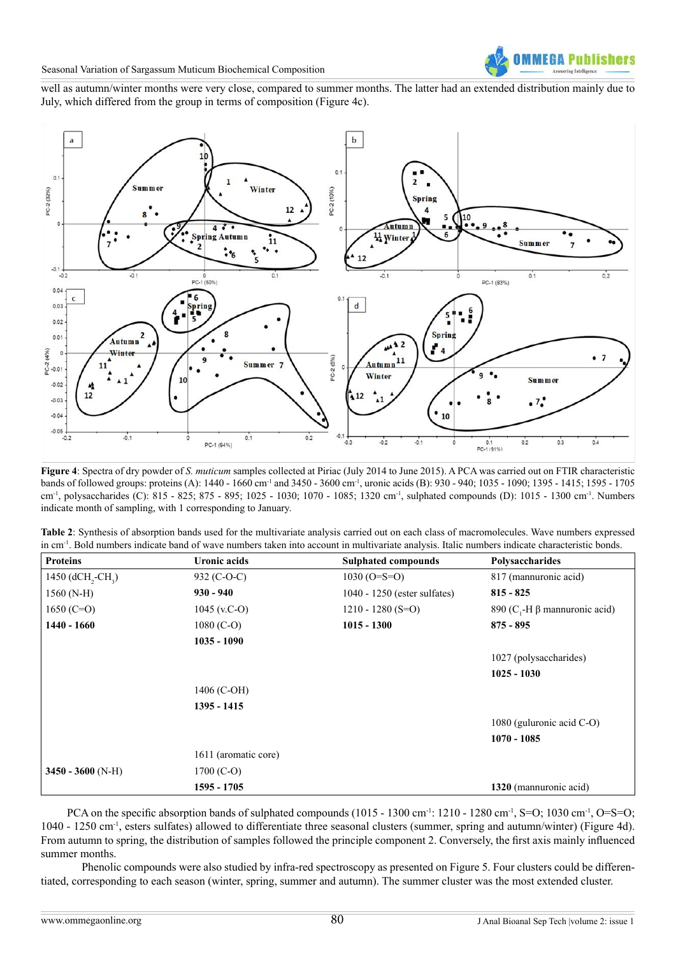

well as autumn/winter months were very close, compared to summer months. The latter had an extended distribution mainly due to July, which differed from the group in terms of composition (Figure 4c).



**Figure 4**: Spectra of dry powder of *S. muticum* samples collected at Piriac (July 2014 to June 2015). A PCA was carried out on FTIR characteristic bands of followed groups: proteins (A): 1440 - 1660 cm<sup>-1</sup> and 3450 - 3600 cm<sup>-1</sup>, uronic acids (B): 930 - 940; 1035 - 1090; 1395 - 1415; 1595 - 1705 cm-1, polysaccharides (C): 815 - 825; 875 - 895; 1025 - 1030; 1070 - 1085; 1320 cm-1, sulphated compounds (D): 1015 - 1300 cm-1. Numbers indicate month of sampling, with 1 corresponding to January.

| Table 2: Synthesis of absorption bands used for the multivariate analysis carried out on each class of macromolecules. Wave numbers expressed               |
|-------------------------------------------------------------------------------------------------------------------------------------------------------------|
| in cm <sup>-1</sup> . Bold numbers indicate band of wave numbers taken into account in multivariate analysis. Italic numbers indicate characteristic bonds. |

| <b>Proteins</b>                           | Uronic acids         | <b>Sulphated compounds</b>   | Polysaccharides                       |  |  |
|-------------------------------------------|----------------------|------------------------------|---------------------------------------|--|--|
| 1450 (dCH <sub>2</sub> -CH <sub>2</sub> ) | 932 (C-O-C)          | $1030 (O= S=O)$              | 817 (mannuronic acid)                 |  |  |
| $1560(N-H)$                               | $930 - 940$          | 1040 - 1250 (ester sulfates) | $815 - 825$                           |  |  |
| 1650 (C=O)                                | 1045 (v.C-O)         | $1210 - 1280$ (S=O)          | 890 (C <sub>1</sub> -H β manual acid) |  |  |
| 1440 - 1660<br>$1080$ (C-O)               |                      | $1015 - 1300$                | $875 - 895$                           |  |  |
|                                           | $1035 - 1090$        |                              |                                       |  |  |
|                                           |                      |                              | 1027 (polysaccharides)                |  |  |
|                                           |                      |                              | $1025 - 1030$                         |  |  |
|                                           | 1406 (C-OH)          |                              |                                       |  |  |
|                                           | 1395 - 1415          |                              |                                       |  |  |
|                                           |                      |                              | 1080 (guluronic acid $C-O$ )          |  |  |
|                                           |                      |                              | $1070 - 1085$                         |  |  |
|                                           | 1611 (aromatic core) |                              |                                       |  |  |
| $3450 - 3600$ (N-H)                       | $1700 (C-O)$         |                              |                                       |  |  |
|                                           | 1595 - 1705          |                              | 1320 (manual acid)                    |  |  |

PCA on the specific absorption bands of sulphated compounds (1015 - 1300 cm<sup>-1</sup>: 1210 - 1280 cm<sup>-1</sup>, S=O; 1030 cm<sup>-1</sup>, O=S=O; 1040 - 1250 cm-1, esters sulfates) allowed to differentiate three seasonal clusters (summer, spring and autumn/winter) (Figure 4d). From autumn to spring, the distribution of samples followed the principle component 2. Conversely, the first axis mainly influenced summer months.

Phenolic compounds were also studied by infra-red spectroscopy as presented on Figure 5. Four clusters could be differentiated, corresponding to each season (winter, spring, summer and autumn). The summer cluster was the most extended cluster.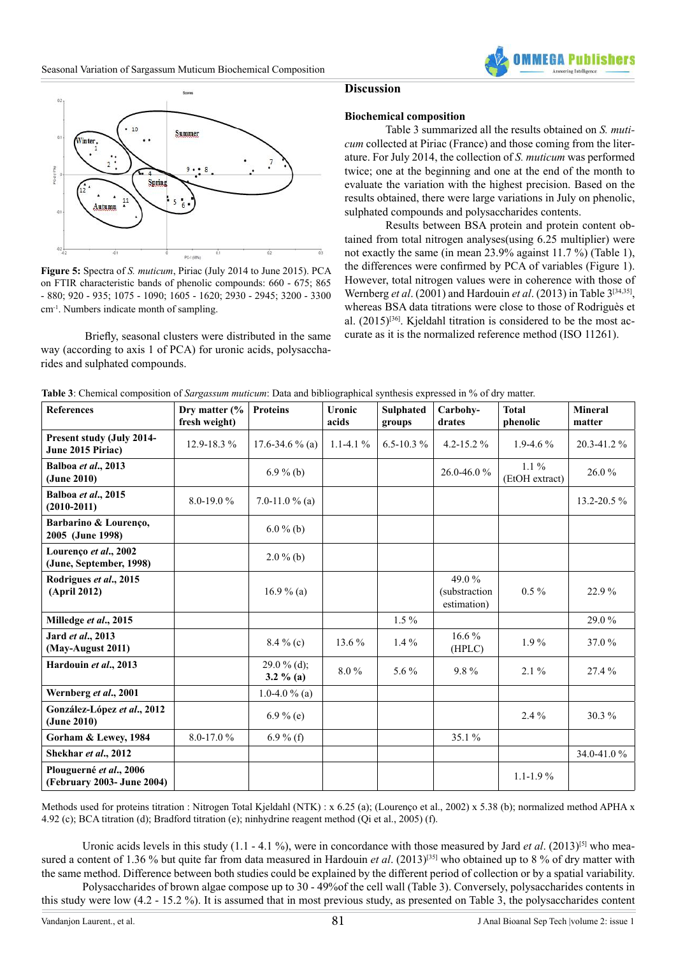



**Figure 5:** Spectra of *S. muticum*, Piriac (July 2014 to June 2015). PCA on FTIR characteristic bands of phenolic compounds: 660 - 675; 865 - 880; 920 - 935; 1075 - 1090; 1605 - 1620; 2930 - 2945; 3200 - 3300 cm-1. Numbers indicate month of sampling.

 Briefly, seasonal clusters were distributed in the same way (according to axis 1 of PCA) for uronic acids, polysaccharides and sulphated compounds.

**(June, September, 1998)** 2.0 % (b)

**(April 2012)** 16.9 % (a)

**Hardouin** *et al.***, 2013 29.0 % (d);** 

**Wernberg** *et al.***, 2001** 1.0-4.0 % (a)

#### **Discussion**

#### **Biochemical composition**

Table 3 summarized all the results obtained on *S. muticum* collected at Piriac (France) and those coming from the literature. For July 2014, the collection of *S. muticum* was performed twice; one at the beginning and one at the end of the month to evaluate the variation with the highest precision. Based on the results obtained, there were large variations in July on phenolic, sulphated compounds and polysaccharides contents.

Results between BSA protein and protein content obtained from total nitrogen analyses(using 6.25 multiplier) were not exactly the same (in mean 23.9% against 11.7 %) (Table 1), the differences were confirmed by PCA of variables (Figure 1). However, total nitrogen values were in coherence with those of Wernberg *et al*. (2001) and Hardouin *et al*. (2013) in Table 3[\[34,35\],](#page-9-12) whereas BSA data titrations were close to those of Rodriguès et al.  $(2015)^{[36]}$ . Kieldahl titration is considered to be the most accurate as it is the normalized reference method (ISO 11261).

**Total** 

49.0 % (substraction estimation)

**3.2 % (a)** 8.0 % 5.6 % 9.8 % 2.1 % 27.4 %

 $0.5\%$  22.9%

 $16.6\%$   $1.9\%$  37.0 %

| <b>References</b>                                     | Dry matter $\frac{6}{6}$<br>fresh weight) | <b>Proteins</b>             | <b>Uronic</b><br>acids | <b>Sulphated</b><br>groups | Carbohy-<br>drates | <b>Total</b><br>phenolic  | <b>Mineral</b><br>matter |
|-------------------------------------------------------|-------------------------------------------|-----------------------------|------------------------|----------------------------|--------------------|---------------------------|--------------------------|
| <b>Present study (July 2014-</b><br>June 2015 Piriac) | $12.9 - 18.3 \%$                          | 17.6-34.6 % (a)             | $1.1 - 4.1\%$          | $6.5 - 10.3 \%$            | $4.2 - 15.2 \%$    | $1.9 - 4.6\%$             | 20.3-41.2 %              |
| Balboa et al., 2013<br>(June 2010)                    |                                           | $6.9\%$ (b)                 |                        |                            | $26.0 - 46.0%$     | $1.1\%$<br>(EtOH extract) | $26.0\%$                 |
| Balboa et al., 2015<br>$(2010 - 2011)$                | $8.0 - 19.0 \%$                           | 7.0-11.0 % (a)              |                        |                            |                    |                           | $13.2 - 20.5$ %          |
| Barbarino & Lourenço,<br>2005 (June 1998)             |                                           | $6.0\%$ (b)                 |                        |                            |                    |                           |                          |
| Lourenco et al., 2002                                 |                                           | $\sim$ $\sim$ $\sim$ $\sim$ |                        |                            |                    |                           |                          |

**Table 3**: Chemical composition of *Sargassum muticum*: Data and bibliographical synthesis expressed in % of dry matter.

| Methods used for proteins titration : Nitrogen Total Kjeldahl (NTK) : x 6.25 (a); (Lourenço et al., 2002) x 5.38 (b); normalized method APHA x |
|------------------------------------------------------------------------------------------------------------------------------------------------|
| 4.92 (c); BCA titration (d); Bradford titration (e); ninhydrine reagent method (Qi et al., 2005) (f).                                          |

**Milledge** *et al***., 2015** 1.5 % 29.0 %

**(June 2010)** 6.9 % (e) 2.4 % 30.3 %

**Shekhar** *et al.***, 2012** 34.0-41.0 % 34.0-41.0 %

**(February 2003- June 2004)** 1.1-1.9 %

**Jard** *et al.***, 2013**<br> **(May-August 2011)** 8.4 % (c) 13.6 % 1.4 % 1.4 % 16.6 % 1.4 % 16.6 %

**Gorham & Lewey, 1984** 8.0-17.0 % 6.9 % (f) 35.1 %

Uronic acids levels in this study  $(1.1 - 4.1 \%)$ , were in concordance with those measured by Jard *et al.*  $(2013)^{5}$  who measured a content of 1.36 % but quite far from data measured in Hardouin *et al.* (2013)<sup>[35]</sup> who obtained up to 8 % of dry matter with the same method. Difference between both studies could be explained by the different period of collection or by a spatial variability.

Polysaccharides of brown algae compose up to 30 - 49%of the cell wall (Table 3). Conversely, polysaccharides contents in this study were low (4.2 - 15.2 %). It is assumed that in most previous study, as presented on Table 3, the polysaccharides content

**Rodrigues** *et al***., 2015**

**González-López** *et al***., 2012** 

**Plouguerné** *et al***., 2006** 

**Jard** *et al***., 2013**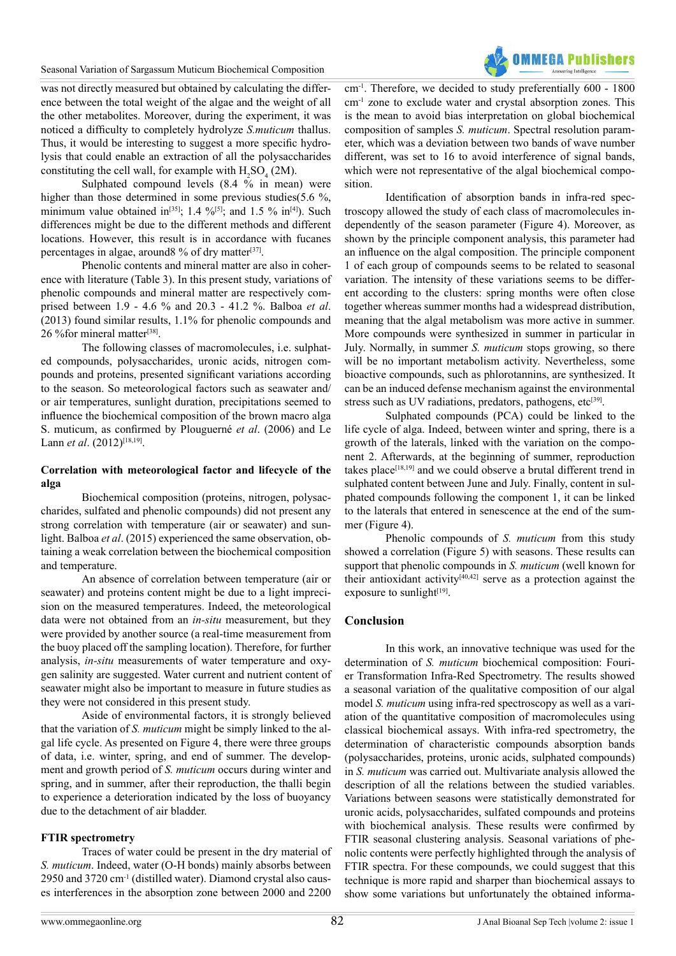Seasonal Variation of Sargassum Muticum Biochemical Composition

was not directly measured but obtained by calculating the difference between the total weight of the algae and the weight of all the other metabolites. Moreover, during the experiment, it was noticed a difficulty to completely hydrolyze *S.muticum* thallus. Thus, it would be interesting to suggest a more specific hydrolysis that could enable an extraction of all the polysaccharides constituting the cell wall, for example with  $H_2SO_4(2M)$ .

Sulphated compound levels  $(8.4 \times 10^6)$  in mean) were higher than those determined in some previous studies(5.6 %, minimum value obtained in<sup>[35]</sup>; 1.4 %<sup>[5]</sup>; and 1.5 % in<sup>[\[4\]](#page-8-3)</sup>). Such differences might be due to the different methods and different locations. However, this result is in accordance with fucanes percentages in algae, around  $\%$  of dry matter<sup>[37]</sup>.

Phenolic contents and mineral matter are also in coherence with literature (Table 3). In this present study, variations of phenolic compounds and mineral matter are respectively comprised between 1.9 - 4.6 % and 20.3 - 41.2 %. Balboa *et al*. (2013) found similar results, 1.1% for phenolic compounds and 26 % for mineral matter<sup>[\[38\]](#page-9-16)</sup>.

The following classes of macromolecules, i.e. sulphated compounds, polysaccharides, uronic acids, nitrogen compounds and proteins, presented significant variations according to the season. So meteorological factors such as seawater and/ or air temperatures, sunlight duration, precipitations seemed to influence the biochemical composition of the brown macro alga S. muticum, as confirmed by Plouguerné *et al*. (2006) and Le Lann *et al.* (2012)<sup>[18,19]</sup>.

# **Correlation with meteorological factor and lifecycle of the alga**

Biochemical composition (proteins, nitrogen, polysaccharides, sulfated and phenolic compounds) did not present any strong correlation with temperature (air or seawater) and sunlight. Balboa *et al*. (2015) experienced the same observation, obtaining a weak correlation between the biochemical composition and temperature.

An absence of correlation between temperature (air or seawater) and proteins content might be due to a light imprecision on the measured temperatures. Indeed, the meteorological data were not obtained from an *in-situ* measurement, but they were provided by another source (a real-time measurement from the buoy placed off the sampling location). Therefore, for further analysis, *in-situ* measurements of water temperature and oxygen salinity are suggested. Water current and nutrient content of seawater might also be important to measure in future studies as they were not considered in this present study.

Aside of environmental factors, it is strongly believed that the variation of *S. muticum* might be simply linked to the algal life cycle. As presented on Figure 4, there were three groups of data, i.e. winter, spring, and end of summer. The development and growth period of *S. muticum* occurs during winter and spring, and in summer, after their reproduction, the thalli begin to experience a deterioration indicated by the loss of buoyancy due to the detachment of air bladder.

# **FTIR spectrometry**

Traces of water could be present in the dry material of *S. muticum*. Indeed, water (O-H bonds) mainly absorbs between 2950 and 3720 cm-1 (distilled water). Diamond crystal also causes interferences in the absorption zone between 2000 and 2200 cm-1. Therefore, we decided to study preferentially 600 - 1800 cm-1 zone to exclude water and crystal absorption zones. This is the mean to avoid bias interpretation on global biochemical composition of samples *S. muticum*. Spectral resolution parameter, which was a deviation between two bands of wave number different, was set to 16 to avoid interference of signal bands, which were not representative of the algal biochemical composition.

Identification of absorption bands in infra-red spectroscopy allowed the study of each class of macromolecules independently of the season parameter (Figure 4). Moreover, as shown by the principle component analysis, this parameter had an influence on the algal composition. The principle component 1 of each group of compounds seems to be related to seasonal variation. The intensity of these variations seems to be different according to the clusters: spring months were often close together whereas summer months had a widespread distribution, meaning that the algal metabolism was more active in summer. More compounds were synthesized in summer in particular in July. Normally, in summer *S. muticum* stops growing, so there will be no important metabolism activity. Nevertheless, some bioactive compounds, such as phlorotannins, are synthesized. It can be an induced defense mechanism against the environmental stress such as UV radiations, predators, pathogens, etc<sup>[\[39\]](#page-9-17)</sup>.

Sulphated compounds (PCA) could be linked to the life cycle of alga. Indeed, between winter and spring, there is a growth of the laterals, linked with the variation on the component 2. Afterwards, at the beginning of summer, reproduction takes place<sup>[18,19]</sup> and we could observe a brutal different trend in sulphated content between June and July. Finally, content in sulphated compounds following the component 1, it can be linked to the laterals that entered in senescence at the end of the summer (Figure 4).

Phenolic compounds of *S. muticum* from this study showed a correlation (Figure 5) with seasons. These results can support that phenolic compounds in *S. muticum* (well known for their antioxidant activity<sup>[40,42]</sup> serve as a protection against the exposure to sunlight $[19]$ .

# **Conclusion**

In this work, an innovative technique was used for the determination of *S. muticum* biochemical composition: Fourier Transformation Infra-Red Spectrometry. The results showed a seasonal variation of the qualitative composition of our algal model *S. muticum* using infra-red spectroscopy as well as a variation of the quantitative composition of macromolecules using classical biochemical assays. With infra-red spectrometry, the determination of characteristic compounds absorption bands (polysaccharides, proteins, uronic acids, sulphated compounds) in *S. muticum* was carried out. Multivariate analysis allowed the description of all the relations between the studied variables. Variations between seasons were statistically demonstrated for uronic acids, polysaccharides, sulfated compounds and proteins with biochemical analysis. These results were confirmed by FTIR seasonal clustering analysis. Seasonal variations of phenolic contents were perfectly highlighted through the analysis of FTIR spectra. For these compounds, we could suggest that this technique is more rapid and sharper than biochemical assays to show some variations but unfortunately the obtained informa-

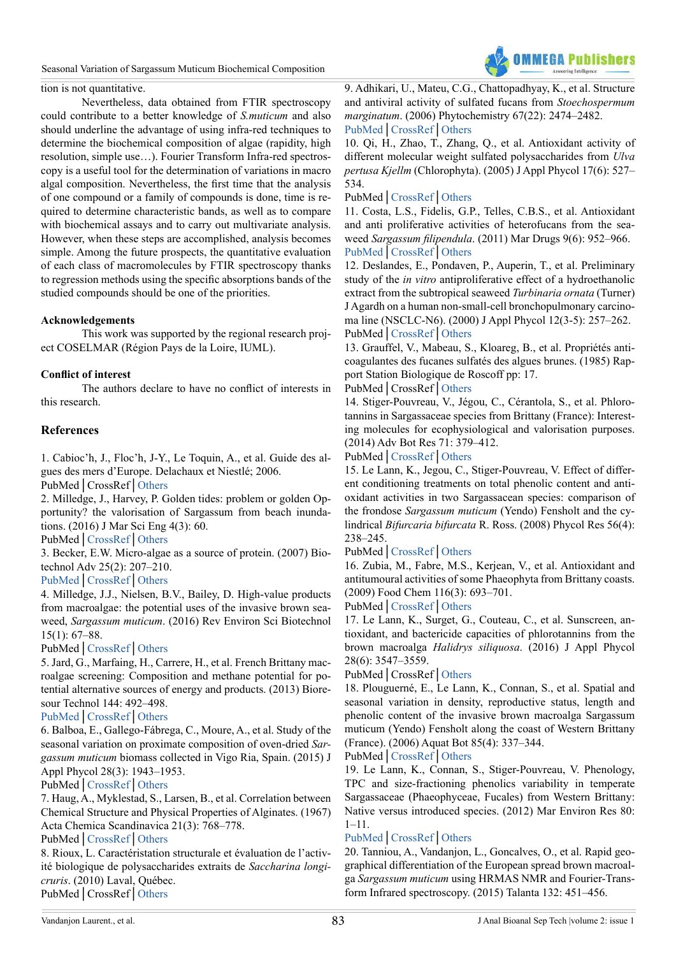

#### tion is not quantitative.

Nevertheless, data obtained from FTIR spectroscopy could contribute to a better knowledge of *S.muticum* and also should underline the advantage of using infra-red techniques to determine the biochemical composition of algae (rapidity, high resolution, simple use…). Fourier Transform Infra-red spectroscopy is a useful tool for the determination of variations in macro algal composition. Nevertheless, the first time that the analysis of one compound or a family of compounds is done, time is required to determine characteristic bands, as well as to compare with biochemical assays and to carry out multivariate analysis. However, when these steps are accomplished, analysis becomes simple. Among the future prospects, the quantitative evaluation of each class of macromolecules by FTIR spectroscopy thanks to regression methods using the specific absorptions bands of the studied compounds should be one of the priorities.

#### **Acknowledgements**

This work was supported by the regional research project COSELMAR (Région Pays de la Loire, IUML).

# **Conflict of interest**

The authors declare to have no conflict of interests in this research.

# **References**

<span id="page-8-0"></span>1. Cabioc'h, J., Floc'h, J-Y., Le Toquin, A., et al. Guide des algues des mers d'Europe. Delachaux et Niestlé; 2006.

PubMed│CrossRef│[Others](http://www.unitheque.com/Livre/delachaux_et_niestle/Guide_Delachaux/Algues_des_mers_d_Europe-67809.html)

<span id="page-8-1"></span>2. Milledge, J., Harvey, P. Golden tides: problem or golden Opportunity? the valorisation of Sargassum from beach inundations. (2016) J Mar Sci Eng 4(3): 60.

PubMed│[CrossRef](https://doi.org/10.3390/jmse4030060)│[Others](http://www.mdpi.com/2077-1312/4/3/60)

<span id="page-8-2"></span>3. Becker, E.W. Micro-algae as a source of protein. (2007) Biotechnol Adv 25(2): 207–210.

# [PubMed](https://www.ncbi.nlm.nih.gov/pubmed/17196357)│[CrossRef](https://doi.org/10.1016/j.biotechadv.2006.11.002)│[Others](http://www.sciencedirect.com/science/article/pii/S073497500600139X)

<span id="page-8-3"></span>4. Milledge, J.J., Nielsen, B.V., Bailey, D. High-value products from macroalgae: the potential uses of the invasive brown seaweed, *Sargassum muticum*. (2016) Rev Environ Sci Biotechnol 15(1): 67–88.

#### PubMed│[CrossRef](https://doi.org/10.1007/s11157-015-9381-7)│[Others](https://link.springer.com/article/10.1007/s11157-015-9381-7)

<span id="page-8-4"></span>5. Jard, G., Marfaing, H., Carrere, H., et al. French Brittany macroalgae screening: Composition and methane potential for potential alternative sources of energy and products. (2013) Bioresour Technol 144: 492–498.

#### [PubMed](https://www.ncbi.nlm.nih.gov/pubmed/23896436)│[CrossRef](https://doi.org/10.1016/j.biortech.2013.06.114)│[Others](http://www.sciencedirect.com/science/article/pii/S0960852413010432)

<span id="page-8-5"></span>6. Balboa, E., Gallego-Fábrega, C., Moure, A., et al. Study of the seasonal variation on proximate composition of oven-dried *Sargassum muticum* biomass collected in Vigo Ria, Spain. (2015) J Appl Phycol 28(3): 1943–1953.

#### PubMed│[CrossRef](https://doi.org/10.1007/s10811-015-0727-x)│[Others](https://link.springer.com/article/10.1007/s10811-015-0727-x)

<span id="page-8-6"></span>7. Haug, A., Myklestad, S., Larsen, B., et al. Correlation between Chemical Structure and Physical Properties of Alginates. (1967) Acta Chemica Scandinavica 21(3): 768–778.

#### PubMed│[CrossRef](https://doi.org/10.3891/acta.chem.scand.21-0768)│[Others](http://actachemscand.org/pdf/acta_vol_21_p0768-0778.pdf%5d)

<span id="page-8-7"></span>8. Rioux, L. Caractéristation structurale et évaluation de l'activité biologique de polysaccharides extraits de *Saccharina longicruris*. (2010) Laval, Québec. PubMed│CrossRef│[Others](https://www.doc-developpement-durable.org/file/culture-algues/FICHES_PLANTES/Laminaire à long stipe_Saccharina longicruris/Caractérisation et évaluation de activité biologiques de POLYSACCHARIDES de Saccharina longicruris.pdf)

<span id="page-8-8"></span>9. Adhikari, U., Mateu, C.G., Chattopadhyay, K., et al. Structure and antiviral activity of sulfated fucans from *Stoechospermum marginatum*. (2006) Phytochemistry 67(22): 2474–2482. [PubMed](https://www.ncbi.nlm.nih.gov/pubmed/17067880)│[CrossRef](https://doi.org/10.1016/j.phytochem.2006.05.024)│[Others](http://www.sciencedirect.com/science/article/pii/S0031942206002937)

<span id="page-8-9"></span>10. Qi, H., Zhao, T., Zhang, Q., et al. Antioxidant activity of different molecular weight sulfated polysaccharides from *Ulva pertusa Kjellm* (Chlorophyta). (2005) J Appl Phycol 17(6): 527– 534.

#### PubMed│[CrossRef](https://doi.org/10.1007/s10811-005-9003-9)│[Others](https://link.springer.com/article/10.1007/s10811-005-9003-9)

<span id="page-8-10"></span>11. Costa, L.S., Fidelis, G.P., Telles, C.B.S., et al. Antioxidant and anti proliferative activities of heterofucans from the seaweed *Sargassum filipendula*. (2011) Mar Drugs 9(6): 952–966. [PubMed](https://www.ncbi.nlm.nih.gov/pubmed/21747741)│[CrossRef](https://doi.org/10.3390/md9060952)│[Others](http://www.mdpi.com/1660-3397/9/6/952)

12. Deslandes, E., Pondaven, P., Auperin, T., et al. Preliminary study of the *in vitro* antiproliferative effect of a hydroethanolic extract from the subtropical seaweed *Turbinaria ornata* (Turner) J Agardh on a human non-small-cell bronchopulmonary carcinoma line (NSCLC-N6). (2000) J Appl Phycol 12(3-5): 257–262. PubMed│[CrossRef](https://doi.org/10.1023/A:1008114831862)│[Others](https://link.springer.com/article/10.1023/A:1008114831862)

<span id="page-8-11"></span>13. Grauffel, V., Mabeau, S., Kloareg, B., et al. Propriétés anticoagulantes des fucanes sulfatés des algues brunes. (1985) Rapport Station Biologique de Roscoff pp: 17.

# PubMed│CrossRef│[Others](http://archimer.ifremer.fr/doc/00101/21217/18832.pdf)

<span id="page-8-12"></span>14. Stiger-Pouvreau, V., Jégou, C., Cérantola, S., et al. Phlorotannins in Sargassaceae species from Brittany (France): Interesting molecules for ecophysiological and valorisation purposes. (2014) Adv Bot Res 71: 379–412.

## PubMed│[CrossRef](https://doi.org/10.1016/B978-0-12-408062-1.00013-5)│[Others](http://hal.univ-brest.fr/hal-01023206)

<span id="page-8-13"></span>15. Le Lann, K., Jegou, C., Stiger-Pouvreau, V. Effect of different conditioning treatments on total phenolic content and antioxidant activities in two Sargassacean species: comparison of the frondose *Sargassum muticum* (Yendo) Fensholt and the cylindrical *Bifurcaria bifurcata* R. Ross. (2008) Phycol Res 56(4): 238–245.

# PubMed│[CrossRef](https://doi.org/10.1111/j.1440-1835.2008.00505.x)│[Others](https://www.researchgate.net/profile/Valerie_Stiger/publication/228109954_Effect_of_different_conditioning_treatments_on_total_phenolic_content_and_antioxidant_activities_in_two_Sargassacean_species_Comparison_of_the_frondose_Sargassum_muticum_Yendo_Fensho)

16. Zubia, M., Fabre, M.S., Kerjean, V., et al. Antioxidant and antitumoural activities of some Phaeophyta from Brittany coasts. (2009) Food Chem 116(3): 693–701.

## PubMed│[CrossRef](https://doi.org/10.1016/j.foodchem.2009.03.025)│[Others](http://www.sciencedirect.com/science/article/pii/S0308814609003136)

<span id="page-8-14"></span>17. Le Lann, K., Surget, G., Couteau, C., et al. Sunscreen, antioxidant, and bactericide capacities of phlorotannins from the brown macroalga *Halidrys siliquosa*. (2016) J Appl Phycol 28(6): 3547–3559.

#### PubMed│CrossRef│[Others](https://link.springer.com/article/10.1007/s10811-016-0853-0)

<span id="page-8-17"></span>18. Plouguerné, E., Le Lann, K., Connan, S., et al. Spatial and seasonal variation in density, reproductive status, length and phenolic content of the invasive brown macroalga Sargassum muticum (Yendo) Fensholt along the coast of Western Brittany (France). (2006) Aquat Bot 85(4): 337–344.

## PubMed│[CrossRef](https://doi.org/10.1016/j.aquabot.2006.06.011)│[Others](http://www.sciencedirect.com/science/article/pii/S0304377006001070)

<span id="page-8-16"></span>19. Le Lann, K., Connan, S., Stiger-Pouvreau, V. Phenology, TPC and size-fractioning phenolics variability in temperate Sargassaceae (Phaeophyceae, Fucales) from Western Brittany: Native versus introduced species. (2012) Mar Environ Res 80: 1–11.

# [PubMed](https://www.ncbi.nlm.nih.gov/pubmed/22770761)│[CrossRef](https://doi.org/10.1016/j.marenvres.2012.05.011)│[Others](http://www.sciencedirect.com/science/article/pii/S0141113612001109?via%3Dihub)

<span id="page-8-15"></span>20. Tanniou, A., Vandanjon, L., Goncalves, O., et al. Rapid geographical differentiation of the European spread brown macroalga *Sargassum muticum* using HRMAS NMR and Fourier-Transform Infrared spectroscopy. (2015) Talanta 132: 451–456.